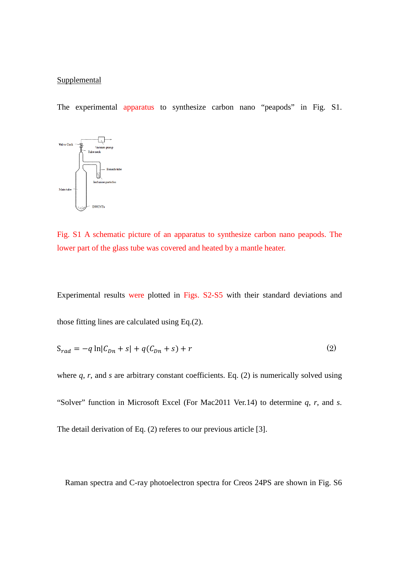## **Supplemental**

The experimental apparatus to synthesize carbon nano "peapods" in Fig. S1.



Fig. S1 A schematic picture of an apparatus to synthesize carbon nano peapods. The lower part of the glass tube was covered and heated by a mantle heater.

Experimental results were plotted in Figs. S2-S5 with their standard deviations and those fitting lines are calculated using Eq.(2).

$$
S_{rad} = -q \ln |C_{Dn} + s| + q(C_{Dn} + s) + r \tag{2}
$$

where *q*, *r*, and *s* are arbitrary constant coefficients. Eq. (2) is numerically solved using "Solver" function in Microsoft Excel (For Mac2011 Ver.14) to determine *q*, *r*, and *s*. The detail derivation of Eq. (2) referes to our previous article [3].

Raman spectra and C-ray photoelectron spectra for Creos 24PS are shown in Fig. S6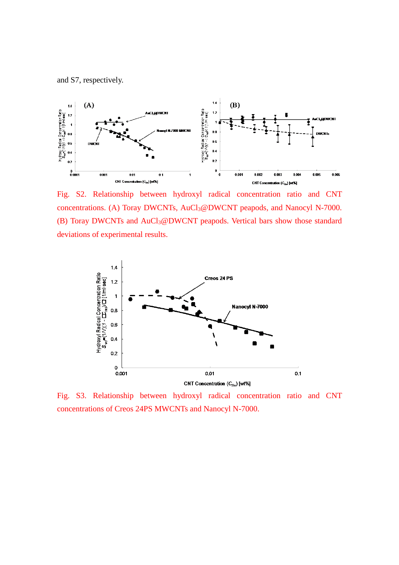and S7, respectively.



Fig. S2. Relationship between hydroxyl radical concentration ratio and CNT concentrations. (A) Toray DWCNTs, AuCl3@DWCNT peapods, and Nanocyl N-7000. (B) Toray DWCNTs and AuCl3@DWCNT peapods. Vertical bars show those standard deviations of experimental results.



Fig. S3. Relationship between hydroxyl radical concentration ratio and CNT concentrations of Creos 24PS MWCNTs and Nanocyl N-7000.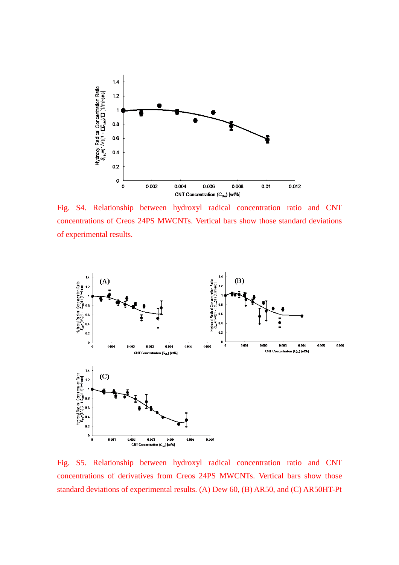

Fig. S4. Relationship between hydroxyl radical concentration ratio and CNT concentrations of Creos 24PS MWCNTs. Vertical bars show those standard deviations of experimental results.



Fig. S5. Relationship between hydroxyl radical concentration ratio and CNT concentrations of derivatives from Creos 24PS MWCNTs. Vertical bars show those standard deviations of experimental results. (A) Dew 60, (B) AR50, and (C) AR50HT-Pt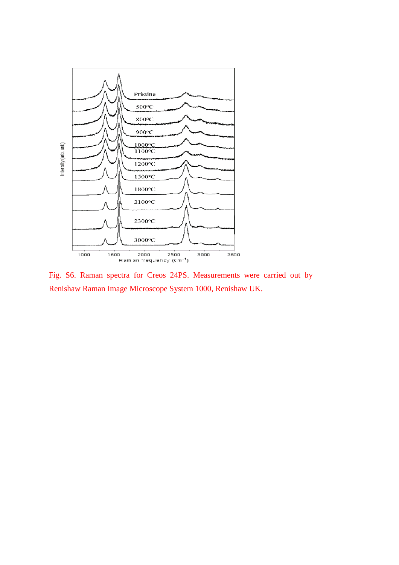

Fig. S6. Raman spectra for Creos 24PS. Measurements were carried out by Renishaw Raman Image Microscope System 1000, Renishaw UK.